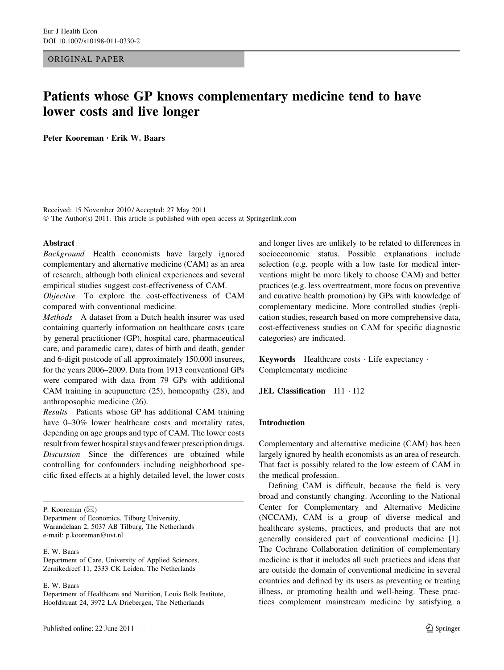#### ORIGINAL PAPER

# Patients whose GP knows complementary medicine tend to have lower costs and live longer

Peter Kooreman • Erik W. Baars

Received: 15 November 2010 / Accepted: 27 May 2011 © The Author(s) 2011. This article is published with open access at Springerlink.com

#### Abstract

Background Health economists have largely ignored complementary and alternative medicine (CAM) as an area of research, although both clinical experiences and several empirical studies suggest cost-effectiveness of CAM.

Objective To explore the cost-effectiveness of CAM compared with conventional medicine.

Methods A dataset from a Dutch health insurer was used containing quarterly information on healthcare costs (care by general practitioner (GP), hospital care, pharmaceutical care, and paramedic care), dates of birth and death, gender and 6-digit postcode of all approximately 150,000 insurees, for the years 2006–2009. Data from 1913 conventional GPs were compared with data from 79 GPs with additional CAM training in acupuncture (25), homeopathy (28), and anthroposophic medicine (26).

Results Patients whose GP has additional CAM training have 0–30% lower healthcare costs and mortality rates, depending on age groups and type of CAM. The lower costs result from fewer hospital stays and fewer prescription drugs. Discussion Since the differences are obtained while controlling for confounders including neighborhood specific fixed effects at a highly detailed level, the lower costs

P. Kooreman (⊠)

Department of Economics, Tilburg University, Warandelaan 2, 5037 AB Tilburg, The Netherlands e-mail: p.kooreman@uvt.nl

E. W. Baars

Department of Care, University of Applied Sciences, Zernikedreef 11, 2333 CK Leiden, The Netherlands

E. W. Baars

and longer lives are unlikely to be related to differences in socioeconomic status. Possible explanations include selection (e.g. people with a low taste for medical interventions might be more likely to choose CAM) and better practices (e.g. less overtreatment, more focus on preventive and curative health promotion) by GPs with knowledge of complementary medicine. More controlled studies (replication studies, research based on more comprehensive data, cost-effectiveness studies on CAM for specific diagnostic categories) are indicated.

Keywords Healthcare costs - Life expectancy - Complementary medicine

JEL Classification I11 · I12

## Introduction

Complementary and alternative medicine (CAM) has been largely ignored by health economists as an area of research. That fact is possibly related to the low esteem of CAM in the medical profession.

Defining CAM is difficult, because the field is very broad and constantly changing. According to the National Center for Complementary and Alternative Medicine (NCCAM), CAM is a group of diverse medical and healthcare systems, practices, and products that are not generally considered part of conventional medicine [\[1](#page-6-0)]. The Cochrane Collaboration definition of complementary medicine is that it includes all such practices and ideas that are outside the domain of conventional medicine in several countries and defined by its users as preventing or treating illness, or promoting health and well-being. These practices complement mainstream medicine by satisfying a

Department of Healthcare and Nutrition, Louis Bolk Institute, Hoofdstraat 24, 3972 LA Driebergen, The Netherlands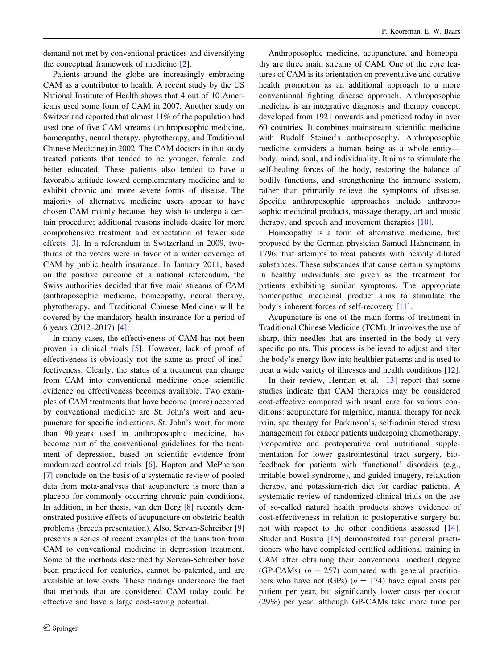Patients around the globe are increasingly embracing CAM as a contributor to health. A recent study by the US National Institute of Health shows that 4 out of 10 Americans used some form of CAM in 2007. Another study on Switzerland reported that almost 11% of the population had used one of five CAM streams (anthroposophic medicine, homeopathy, neural therapy, phytotherapy, and Traditional Chinese Medicine) in 2002. The CAM doctors in that study treated patients that tended to be younger, female, and better educated. These patients also tended to have a favorable attitude toward complementary medicine and to exhibit chronic and more severe forms of disease. The majority of alternative medicine users appear to have chosen CAM mainly because they wish to undergo a certain procedure; additional reasons include desire for more comprehensive treatment and expectation of fewer side effects [[3\]](#page-6-0). In a referendum in Switzerland in 2009, twothirds of the voters were in favor of a wider coverage of CAM by public health insurance. In January 2011, based on the positive outcome of a national referendum, the Swiss authorities decided that five main streams of CAM (anthroposophic medicine, homeopathy, neural therapy, phytotherapy, and Traditional Chinese Medicine) will be covered by the mandatory health insurance for a period of 6 years (2012–2017) [[4\]](#page-7-0).

In many cases, the effectiveness of CAM has not been proven in clinical trials [\[5](#page-7-0)]. However, lack of proof of effectiveness is obviously not the same as proof of ineffectiveness. Clearly, the status of a treatment can change from CAM into conventional medicine once scientific evidence on effectiveness becomes available. Two examples of CAM treatments that have become (more) accepted by conventional medicine are St. John's wort and acupuncture for specific indications. St. John's wort, for more than 90 years used in anthroposophic medicine, has become part of the conventional guidelines for the treatment of depression, based on scientific evidence from randomized controlled trials [\[6](#page-7-0)]. Hopton and McPherson [\[7](#page-7-0)] conclude on the basis of a systematic review of pooled data from meta-analyses that acupuncture is more than a placebo for commonly occurring chronic pain conditions. In addition, in her thesis, van den Berg [[8\]](#page-7-0) recently demonstrated positive effects of acupuncture on obstetric health problems (breech presentation). Also, Servan-Schreiber [[9\]](#page-7-0) presents a series of recent examples of the transition from CAM to conventional medicine in depression treatment. Some of the methods described by Servan-Schreiber have been practiced for centuries, cannot be patented, and are available at low costs. These findings underscore the fact that methods that are considered CAM today could be effective and have a large cost-saving potential.

Anthroposophic medicine, acupuncture, and homeopathy are three main streams of CAM. One of the core features of CAM is its orientation on preventative and curative health promotion as an additional approach to a more conventional fighting disease approach. Anthroposophic medicine is an integrative diagnosis and therapy concept, developed from 1921 onwards and practiced today in over 60 countries. It combines mainstream scientific medicine with Rudolf Steiner's anthroposophy. Anthroposophic medicine considers a human being as a whole entity body, mind, soul, and individuality. It aims to stimulate the self-healing forces of the body, restoring the balance of bodily functions, and strengthening the immune system, rather than primarily relieve the symptoms of disease. Specific anthroposophic approaches include anthroposophic medicinal products, massage therapy, art and music therapy, and speech and movement therapies [[10\]](#page-7-0).

Homeopathy is a form of alternative medicine, first proposed by the German physician Samuel Hahnemann in 1796, that attempts to treat patients with heavily diluted substances. These substances that cause certain symptoms in healthy individuals are given as the treatment for patients exhibiting similar symptoms. The appropriate homeopathic medicinal product aims to stimulate the body's inherent forces of self-recovery [[11\]](#page-7-0).

Acupuncture is one of the main forms of treatment in Traditional Chinese Medicine (TCM). It involves the use of sharp, thin needles that are inserted in the body at very specific points. This process is believed to adjust and alter the body's energy flow into healthier patterns and is used to treat a wide variety of illnesses and health conditions [\[12](#page-7-0)].

In their review, Herman et al. [\[13](#page-7-0)] report that some studies indicate that CAM therapies may be considered cost-effective compared with usual care for various conditions: acupuncture for migraine, manual therapy for neck pain, spa therapy for Parkinson's, self-administered stress management for cancer patients undergoing chemotherapy, preoperative and postoperative oral nutritional supplementation for lower gastrointestinal tract surgery, biofeedback for patients with 'functional' disorders (e.g., irritable bowel syndrome), and guided imagery, relaxation therapy, and potassium-rich diet for cardiac patients. A systematic review of randomized clinical trials on the use of so-called natural health products shows evidence of cost-effectiveness in relation to postoperative surgery but not with respect to the other conditions assessed [\[14](#page-7-0)]. Studer and Busato [[15\]](#page-7-0) demonstrated that general practitioners who have completed certified additional training in CAM after obtaining their conventional medical degree (GP-CAMs)  $(n = 257)$  compared with general practitioners who have not (GPs)  $(n = 174)$  have equal costs per patient per year, but significantly lower costs per doctor (29%) per year, although GP-CAMs take more time per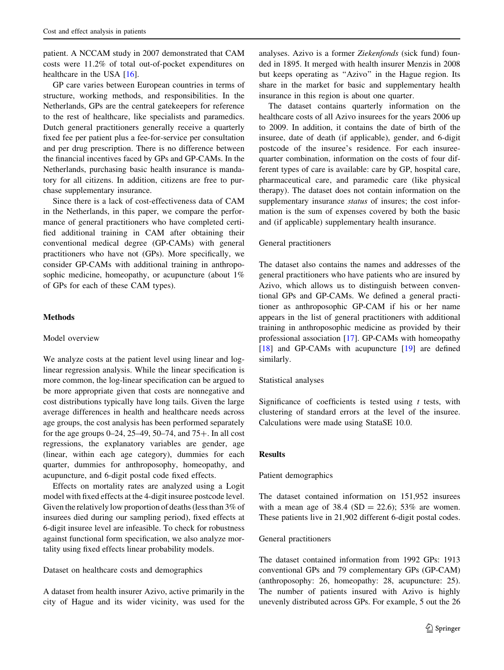patient. A NCCAM study in 2007 demonstrated that CAM costs were 11.2% of total out-of-pocket expenditures on healthcare in the USA [[16\]](#page-7-0).

GP care varies between European countries in terms of structure, working methods, and responsibilities. In the Netherlands, GPs are the central gatekeepers for reference to the rest of healthcare, like specialists and paramedics. Dutch general practitioners generally receive a quarterly fixed fee per patient plus a fee-for-service per consultation and per drug prescription. There is no difference between the financial incentives faced by GPs and GP-CAMs. In the Netherlands, purchasing basic health insurance is mandatory for all citizens. In addition, citizens are free to purchase supplementary insurance.

Since there is a lack of cost-effectiveness data of CAM in the Netherlands, in this paper, we compare the performance of general practitioners who have completed certified additional training in CAM after obtaining their conventional medical degree (GP-CAMs) with general practitioners who have not (GPs). More specifically, we consider GP-CAMs with additional training in anthroposophic medicine, homeopathy, or acupuncture (about 1% of GPs for each of these CAM types).

## Methods

#### Model overview

We analyze costs at the patient level using linear and loglinear regression analysis. While the linear specification is more common, the log-linear specification can be argued to be more appropriate given that costs are nonnegative and cost distributions typically have long tails. Given the large average differences in health and healthcare needs across age groups, the cost analysis has been performed separately for the age groups  $0-24$ ,  $25-49$ ,  $50-74$ , and  $75+$ . In all cost regressions, the explanatory variables are gender, age (linear, within each age category), dummies for each quarter, dummies for anthroposophy, homeopathy, and acupuncture, and 6-digit postal code fixed effects.

Effects on mortality rates are analyzed using a Logit model with fixed effects at the 4-digit insuree postcode level. Given the relatively low proportion of deaths (less than 3% of insurees died during our sampling period), fixed effects at 6-digit insuree level are infeasible. To check for robustness against functional form specification, we also analyze mortality using fixed effects linear probability models.

Dataset on healthcare costs and demographics

A dataset from health insurer Azivo, active primarily in the city of Hague and its wider vicinity, was used for the

analyses. Azivo is a former Ziekenfonds (sick fund) founded in 1895. It merged with health insurer Menzis in 2008 but keeps operating as ''Azivo'' in the Hague region. Its share in the market for basic and supplementary health insurance in this region is about one quarter.

The dataset contains quarterly information on the healthcare costs of all Azivo insurees for the years 2006 up to 2009. In addition, it contains the date of birth of the insuree, date of death (if applicable), gender, and 6-digit postcode of the insuree's residence. For each insureequarter combination, information on the costs of four different types of care is available: care by GP, hospital care, pharmaceutical care, and paramedic care (like physical therapy). The dataset does not contain information on the supplementary insurance *status* of insures; the cost information is the sum of expenses covered by both the basic and (if applicable) supplementary health insurance.

#### General practitioners

The dataset also contains the names and addresses of the general practitioners who have patients who are insured by Azivo, which allows us to distinguish between conventional GPs and GP-CAMs. We defined a general practitioner as anthroposophic GP-CAM if his or her name appears in the list of general practitioners with additional training in anthroposophic medicine as provided by their professional association [\[17](#page-7-0)]. GP-CAMs with homeopathy [\[18](#page-7-0)] and GP-CAMs with acupuncture [[19\]](#page-7-0) are defined similarly.

#### Statistical analyses

Significance of coefficients is tested using  $t$  tests, with clustering of standard errors at the level of the insuree. Calculations were made using StataSE 10.0.

#### Results

#### Patient demographics

The dataset contained information on 151,952 insurees with a mean age of 38.4 (SD = 22.6); 53% are women. These patients live in 21,902 different 6-digit postal codes.

#### General practitioners

The dataset contained information from 1992 GPs: 1913 conventional GPs and 79 complementary GPs (GP-CAM) (anthroposophy: 26, homeopathy: 28, acupuncture: 25). The number of patients insured with Azivo is highly unevenly distributed across GPs. For example, 5 out the 26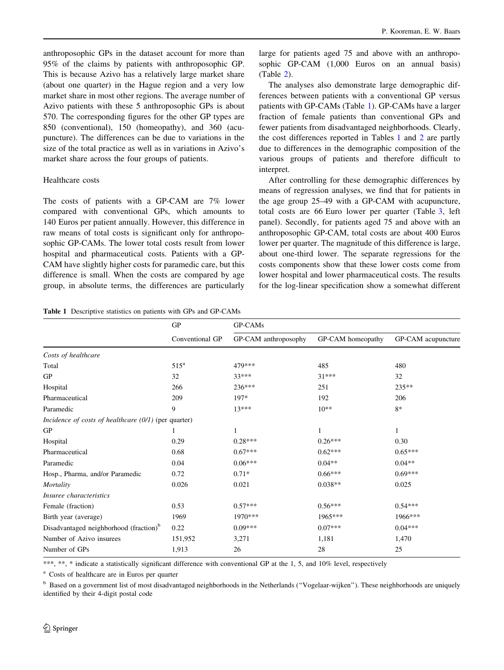anthroposophic GPs in the dataset account for more than 95% of the claims by patients with anthroposophic GP. This is because Azivo has a relatively large market share (about one quarter) in the Hague region and a very low market share in most other regions. The average number of Azivo patients with these 5 anthroposophic GPs is about 570. The corresponding figures for the other GP types are 850 (conventional), 150 (homeopathy), and 360 (acupuncture). The differences can be due to variations in the size of the total practice as well as in variations in Azivo's market share across the four groups of patients.

#### Healthcare costs

The costs of patients with a GP-CAM are 7% lower compared with conventional GPs, which amounts to 140 Euros per patient annually. However, this difference in raw means of total costs is significant only for anthroposophic GP-CAMs. The lower total costs result from lower hospital and pharmaceutical costs. Patients with a GP-CAM have slightly higher costs for paramedic care, but this difference is small. When the costs are compared by age group, in absolute terms, the differences are particularly

Table 1 Descriptive statistics on patients with GPs and GP-CAMs

large for patients aged 75 and above with an anthroposophic GP-CAM (1,000 Euros on an annual basis) (Table [2\)](#page-4-0).

The analyses also demonstrate large demographic differences between patients with a conventional GP versus patients with GP-CAMs (Table 1). GP-CAMs have a larger fraction of female patients than conventional GPs and fewer patients from disadvantaged neighborhoods. Clearly, the cost differences reported in Tables 1 and [2](#page-4-0) are partly due to differences in the demographic composition of the various groups of patients and therefore difficult to interpret.

After controlling for these demographic differences by means of regression analyses, we find that for patients in the age group 25–49 with a GP-CAM with acupuncture, total costs are 66 Euro lower per quarter (Table [3](#page-5-0), left panel). Secondly, for patients aged 75 and above with an anthroposophic GP-CAM, total costs are about 400 Euros lower per quarter. The magnitude of this difference is large, about one-third lower. The separate regressions for the costs components show that these lower costs come from lower hospital and lower pharmaceutical costs. The results for the log-linear specification show a somewhat different

|                                                        | GP              | GP-CAMs              |                   |                    |  |  |
|--------------------------------------------------------|-----------------|----------------------|-------------------|--------------------|--|--|
|                                                        | Conventional GP | GP-CAM anthroposophy | GP-CAM homeopathy | GP-CAM acupuncture |  |  |
| Costs of healthcare                                    |                 |                      |                   |                    |  |  |
| Total                                                  | $515^{\rm a}$   | 479***               | 485               | 480                |  |  |
| GP                                                     | 32              | 33***                | $31***$           | 32                 |  |  |
| Hospital                                               | 266             | $236***$             | 251               | 235**              |  |  |
| Pharmaceutical                                         | 209             | $197*$               | 192               | 206                |  |  |
| Paramedic                                              | 9               | $13***$              | $10**$            | $8*$               |  |  |
| Incidence of costs of healthcare $(0/1)$ (per quarter) |                 |                      |                   |                    |  |  |
| GP                                                     |                 | 1                    | 1                 | 1                  |  |  |
| Hospital                                               | 0.29            | $0.28***$            | $0.26***$         | 0.30               |  |  |
| Pharmaceutical                                         | 0.68            | $0.67***$            | $0.62***$         | $0.65***$          |  |  |
| Paramedic                                              | 0.04            | $0.06***$            | $0.04**$          | $0.04**$           |  |  |
| Hosp., Pharma, and/or Paramedic                        | 0.72            | $0.71*$              | $0.66***$         | $0.69***$          |  |  |
| Mortality                                              | 0.026           | 0.021                | $0.038**$         | 0.025              |  |  |
| Insuree characteristics                                |                 |                      |                   |                    |  |  |
| Female (fraction)                                      | 0.53            | $0.57***$            | $0.56***$         | $0.54***$          |  |  |
| Birth year (average)                                   | 1969            | $1970***$            | $1965***$         | 1966***            |  |  |
| Disadvantaged neighborhood (fraction) <sup>b</sup>     | 0.22            | $0.09***$            | $0.07***$         | $0.04***$          |  |  |
| Number of Azivo insurees                               | 151,952         | 3,271                | 1,181             | 1,470              |  |  |
| Number of GPs                                          | 1,913           | 26                   | 28                | 25                 |  |  |

\*\*\*, \*\*, \* indicate a statistically significant difference with conventional GP at the 1, 5, and 10% level, respectively

<sup>a</sup> Costs of healthcare are in Euros per quarter

<sup>b</sup> Based on a government list of most disadvantaged neighborhoods in the Netherlands ("Vogelaar-wijken"). These neighborhoods are uniquely identified by their 4-digit postal code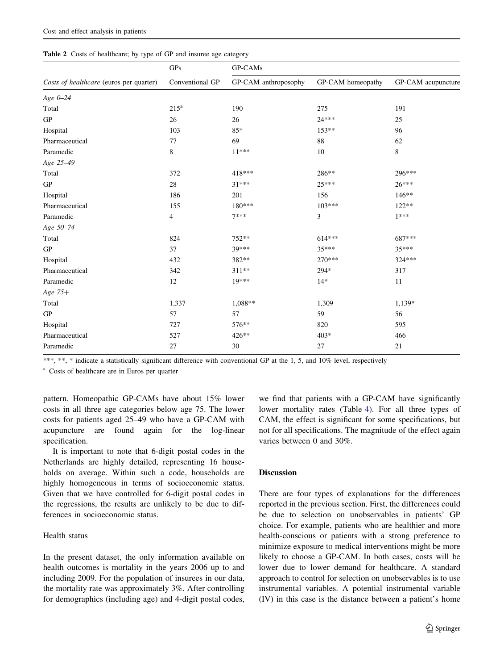<span id="page-4-0"></span>

|  |  | Table 2 Costs of healthcare; by type of GP and insuree age category |  |  |  |  |  |  |
|--|--|---------------------------------------------------------------------|--|--|--|--|--|--|
|--|--|---------------------------------------------------------------------|--|--|--|--|--|--|

|                                         | GPs                | GP-CAMs              |                   |                    |  |
|-----------------------------------------|--------------------|----------------------|-------------------|--------------------|--|
| Costs of healthcare (euros per quarter) | Conventional GP    | GP-CAM anthroposophy | GP-CAM homeopathy | GP-CAM acupuncture |  |
| Age 0-24                                |                    |                      |                   |                    |  |
| Total                                   | $215^{\mathrm{a}}$ | 190                  | 275               | 191                |  |
| GP                                      | 26                 | 26                   | 24***             | 25                 |  |
| Hospital                                | 103                | 85*                  | $153**$           | 96                 |  |
| Pharmaceutical                          | 77                 | 69                   | $88\,$            | 62                 |  |
| Paramedic                               | 8                  | $11***$              | 10                | 8                  |  |
| Age 25-49                               |                    |                      |                   |                    |  |
| Total                                   | 372                | $418***$             | 286**             | 296***             |  |
| GP                                      | 28                 | $31***$              | $25***$           | $26***$            |  |
| Hospital                                | 186                | 201                  | 156               | $146**$            |  |
| Pharmaceutical                          | 155                | 180***               | $103***$          | $122**$            |  |
| Paramedic                               | 4                  | $7***$               | 3                 | $1***$             |  |
| Age 50-74                               |                    |                      |                   |                    |  |
| Total                                   | 824                | 752**                | 614***            | 687***             |  |
| ${\bf G}{\bf P}$                        | 37                 | 39***                | 35***             | 35***              |  |
| Hospital                                | 432                | 382**                | 270***            | 324***             |  |
| Pharmaceutical                          | 342                | 311**                | 294*              | 317                |  |
| Paramedic                               | 12                 | $19***$              | $14*$             | 11                 |  |
| Age 75+                                 |                    |                      |                   |                    |  |
| Total                                   | 1,337              | 1,088**              | 1,309             | 1,139*             |  |
| GP                                      | 57                 | 57                   | 59                | 56                 |  |
| Hospital                                | 727                | 576**                | 820               | 595                |  |
| Pharmaceutical                          | 527                | 426**                | 403*              | 466                |  |
| Paramedic                               | 27                 | 30                   | $27\,$            | 21                 |  |

\*\*\*, \*\*, \* indicate a statistically significant difference with conventional GP at the 1, 5, and 10% level, respectively

<sup>a</sup> Costs of healthcare are in Euros per quarter

pattern. Homeopathic GP-CAMs have about 15% lower costs in all three age categories below age 75. The lower costs for patients aged 25–49 who have a GP-CAM with acupuncture are found again for the log-linear specification.

It is important to note that 6-digit postal codes in the Netherlands are highly detailed, representing 16 households on average. Within such a code, households are highly homogeneous in terms of socioeconomic status. Given that we have controlled for 6-digit postal codes in the regressions, the results are unlikely to be due to differences in socioeconomic status.

#### Health status

In the present dataset, the only information available on health outcomes is mortality in the years 2006 up to and including 2009. For the population of insurees in our data, the mortality rate was approximately 3%. After controlling for demographics (including age) and 4-digit postal codes, we find that patients with a GP-CAM have significantly lower mortality rates (Table [4](#page-6-0)). For all three types of CAM, the effect is significant for some specifications, but not for all specifications. The magnitude of the effect again varies between 0 and 30%.

# Discussion

There are four types of explanations for the differences reported in the previous section. First, the differences could be due to selection on unobservables in patients' GP choice. For example, patients who are healthier and more health-conscious or patients with a strong preference to minimize exposure to medical interventions might be more likely to choose a GP-CAM. In both cases, costs will be lower due to lower demand for healthcare. A standard approach to control for selection on unobservables is to use instrumental variables. A potential instrumental variable (IV) in this case is the distance between a patient's home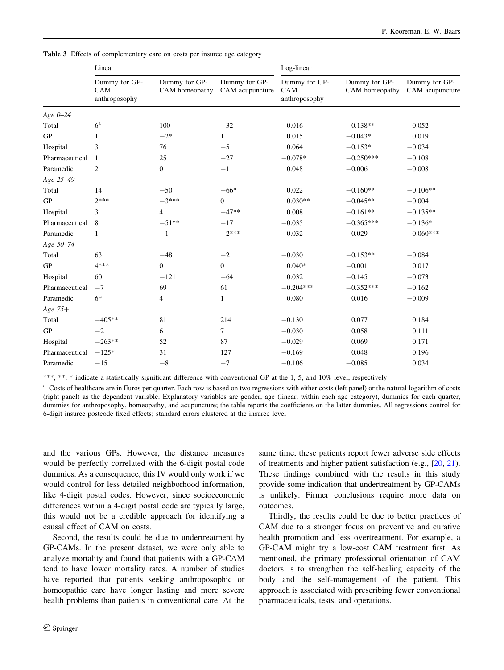<span id="page-5-0"></span>Table 3 Effects of complementary care on costs per insuree age category

|                | Linear                                       |                                 |                                  | Log-linear                                   |                                 |                                  |
|----------------|----------------------------------------------|---------------------------------|----------------------------------|----------------------------------------------|---------------------------------|----------------------------------|
|                | Dummy for GP-<br><b>CAM</b><br>anthroposophy | Dummy for GP-<br>CAM homeopathy | Dummy for GP-<br>CAM acupuncture | Dummy for GP-<br><b>CAM</b><br>anthroposophy | Dummy for GP-<br>CAM homeopathy | Dummy for GP-<br>CAM acupuncture |
| Age $0-24$     |                                              |                                 |                                  |                                              |                                 |                                  |
| Total          | $6^{\rm a}$                                  | 100                             | $-32$                            | 0.016                                        | $-0.138**$                      | $-0.052$                         |
| GP             | 1                                            | $-2*$                           | $\mathbf{1}$                     | 0.015                                        | $-0.043*$                       | 0.019                            |
| Hospital       | 3                                            | 76                              | $-5$                             | 0.064                                        | $-0.153*$                       | $-0.034$                         |
| Pharmaceutical | $\overline{1}$                               | 25                              | $-27$                            | $-0.078*$                                    | $-0.250***$                     | $-0.108$                         |
| Paramedic      | 2                                            | $\mathbf{0}$                    | $-1$                             | 0.048                                        | $-0.006$                        | $-0.008$                         |
| Age 25-49      |                                              |                                 |                                  |                                              |                                 |                                  |
| Total          | 14                                           | $-50$                           | $-66*$                           | 0.022                                        | $-0.160**$                      | $-0.106**$                       |
| <b>GP</b>      | $2***$                                       | $-3***$                         | $\overline{0}$                   | $0.030**$                                    | $-0.045**$                      | $-0.004$                         |
| Hospital       | 3                                            | $\overline{4}$                  | $-47**$                          | 0.008                                        | $-0.161**$                      | $-0.135**$                       |
| Pharmaceutical | 8                                            | $-51**$                         | $-17$                            | $-0.035$                                     | $-0.365***$                     | $-0.136*$                        |
| Paramedic      | $\mathbf{1}$                                 | $-1$                            | $-2***$                          | 0.032                                        | $-0.029$                        | $-0.060***$                      |
| Age 50-74      |                                              |                                 |                                  |                                              |                                 |                                  |
| Total          | 63                                           | $-48$                           | $-2$                             | $-0.030$                                     | $-0.153**$                      | $-0.084$                         |
| <b>GP</b>      | 4***                                         | $\overline{0}$                  | $\mathbf{0}$                     | $0.040*$                                     | $-0.001$                        | 0.017                            |
| Hospital       | 60                                           | $-121$                          | $-64$                            | 0.032                                        | $-0.145$                        | $-0.073$                         |
| Pharmaceutical | $-7$                                         | 69                              | 61                               | $-0.204***$                                  | $-0.352***$                     | $-0.162$                         |
| Paramedic      | $6*$                                         | 4                               | $\mathbf{1}$                     | 0.080                                        | 0.016                           | $-0.009$                         |
| Age $75+$      |                                              |                                 |                                  |                                              |                                 |                                  |
| Total          | $-405**$                                     | 81                              | 214                              | $-0.130$                                     | 0.077                           | 0.184                            |
| <b>GP</b>      | $-2$                                         | 6                               | 7                                | $-0.030$                                     | 0.058                           | 0.111                            |
| Hospital       | $-263**$                                     | 52                              | 87                               | $-0.029$                                     | 0.069                           | 0.171                            |
| Pharmaceutical | $-125*$                                      | 31                              | 127                              | $-0.169$                                     | 0.048                           | 0.196                            |
| Paramedic      | $-15$                                        | $-8$                            | $-7$                             | $-0.106$                                     | $-0.085$                        | 0.034                            |

\*\*\*, \*\*, \* indicate a statistically significant difference with conventional GP at the 1, 5, and 10% level, respectively

<sup>a</sup> Costs of healthcare are in Euros per quarter. Each row is based on two regressions with either costs (left panel) or the natural logarithm of costs (right panel) as the dependent variable. Explanatory variables are gender, age (linear, within each age category), dummies for each quarter, dummies for anthroposophy, homeopathy, and acupuncture; the table reports the coefficients on the latter dummies. All regressions control for 6-digit insuree postcode fixed effects; standard errors clustered at the insuree level

and the various GPs. However, the distance measures would be perfectly correlated with the 6-digit postal code dummies. As a consequence, this IV would only work if we would control for less detailed neighborhood information, like 4-digit postal codes. However, since socioeconomic differences within a 4-digit postal code are typically large, this would not be a credible approach for identifying a causal effect of CAM on costs.

Second, the results could be due to undertreatment by GP-CAMs. In the present dataset, we were only able to analyze mortality and found that patients with a GP-CAM tend to have lower mortality rates. A number of studies have reported that patients seeking anthroposophic or homeopathic care have longer lasting and more severe health problems than patients in conventional care. At the same time, these patients report fewer adverse side effects of treatments and higher patient satisfaction (e.g., [\[20](#page-7-0), [21](#page-7-0)). These findings combined with the results in this study provide some indication that undertreatment by GP-CAMs is unlikely. Firmer conclusions require more data on outcomes.

Thirdly, the results could be due to better practices of CAM due to a stronger focus on preventive and curative health promotion and less overtreatment. For example, a GP-CAM might try a low-cost CAM treatment first. As mentioned, the primary professional orientation of CAM doctors is to strengthen the self-healing capacity of the body and the self-management of the patient. This approach is associated with prescribing fewer conventional pharmaceuticals, tests, and operations.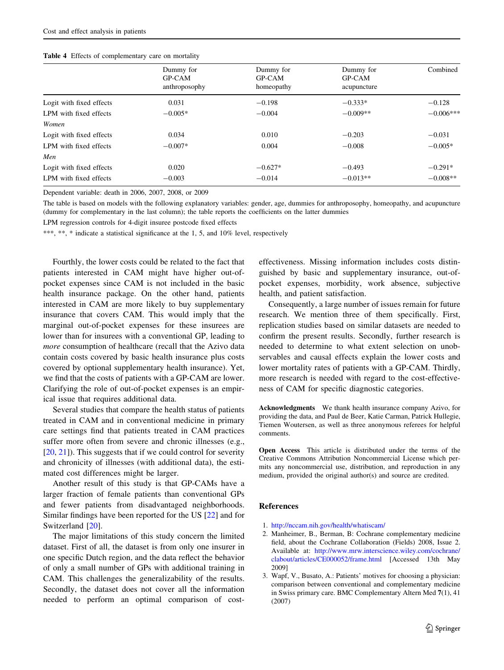<span id="page-6-0"></span>

|                          | Dummy for<br>GP-CAM<br>anthroposophy | Dummy for<br>GP-CAM<br>homeopathy | Dummy for<br>GP-CAM<br>acupuncture | Combined    |
|--------------------------|--------------------------------------|-----------------------------------|------------------------------------|-------------|
| Logit with fixed effects | 0.031                                | $-0.198$                          | $-0.333*$                          | $-0.128$    |
| LPM with fixed effects   | $-0.005*$                            | $-0.004$                          | $-0.009**$                         | $-0.006***$ |
| Women                    |                                      |                                   |                                    |             |
| Logit with fixed effects | 0.034                                | 0.010                             | $-0.203$                           | $-0.031$    |
| LPM with fixed effects   | $-0.007*$                            | 0.004                             | $-0.008$                           | $-0.005*$   |
| Men                      |                                      |                                   |                                    |             |
| Logit with fixed effects | 0.020                                | $-0.627*$                         | $-0.493$                           | $-0.291*$   |
| LPM with fixed effects   | $-0.003$                             | $-0.014$                          | $-0.013**$                         | $-0.008**$  |

Dependent variable: death in 2006, 2007, 2008, or 2009

The table is based on models with the following explanatory variables: gender, age, dummies for anthroposophy, homeopathy, and acupuncture (dummy for complementary in the last column); the table reports the coefficients on the latter dummies

LPM regression controls for 4-digit insuree postcode fixed effects

\*\*\*, \*\*, \* indicate a statistical significance at the 1, 5, and 10% level, respectively

Fourthly, the lower costs could be related to the fact that patients interested in CAM might have higher out-ofpocket expenses since CAM is not included in the basic health insurance package. On the other hand, patients interested in CAM are more likely to buy supplementary insurance that covers CAM. This would imply that the marginal out-of-pocket expenses for these insurees are lower than for insurees with a conventional GP, leading to more consumption of healthcare (recall that the Azivo data contain costs covered by basic health insurance plus costs covered by optional supplementary health insurance). Yet, we find that the costs of patients with a GP-CAM are lower. Clarifying the role of out-of-pocket expenses is an empirical issue that requires additional data.

Several studies that compare the health status of patients treated in CAM and in conventional medicine in primary care settings find that patients treated in CAM practices suffer more often from severe and chronic illnesses (e.g., [\[20](#page-7-0), [21](#page-7-0)]). This suggests that if we could control for severity and chronicity of illnesses (with additional data), the estimated cost differences might be larger.

Another result of this study is that GP-CAMs have a larger fraction of female patients than conventional GPs and fewer patients from disadvantaged neighborhoods. Similar findings have been reported for the US [[22\]](#page-7-0) and for Switzerland [[20](#page-7-0)].

The major limitations of this study concern the limited dataset. First of all, the dataset is from only one insurer in one specific Dutch region, and the data reflect the behavior of only a small number of GPs with additional training in CAM. This challenges the generalizability of the results. Secondly, the dataset does not cover all the information needed to perform an optimal comparison of costeffectiveness. Missing information includes costs distinguished by basic and supplementary insurance, out-ofpocket expenses, morbidity, work absence, subjective health, and patient satisfaction.

Consequently, a large number of issues remain for future research. We mention three of them specifically. First, replication studies based on similar datasets are needed to confirm the present results. Secondly, further research is needed to determine to what extent selection on unobservables and causal effects explain the lower costs and lower mortality rates of patients with a GP-CAM. Thirdly, more research is needed with regard to the cost-effectiveness of CAM for specific diagnostic categories.

Acknowledgments We thank health insurance company Azivo, for providing the data, and Paul de Beer, Katie Carman, Patrick Hullegie, Tiemen Woutersen, as well as three anonymous referees for helpful comments.

Open Access This article is distributed under the terms of the Creative Commons Attribution Noncommercial License which permits any noncommercial use, distribution, and reproduction in any medium, provided the original author(s) and source are credited.

#### References

- 1. <http://nccam.nih.gov/health/whatiscam/>
- 2. Manheimer, B., Berman, B: Cochrane complementary medicine field, about the Cochrane Collaboration (Fields) 2008, Issue 2. Available at: [http://www.mrw.interscience.wiley.com/cochrane/](http://www.mrw.interscience.wiley.com/cochrane/clabout/articles/CE000052/frame.html) [clabout/articles/CE000052/frame.html](http://www.mrw.interscience.wiley.com/cochrane/clabout/articles/CE000052/frame.html) [Accessed 13th May 2009]
- 3. Wapf, V., Busato, A.: Patients' motives for choosing a physician: comparison between conventional and complementary medicine in Swiss primary care. BMC Complementary Altern Med 7(1), 41 (2007)